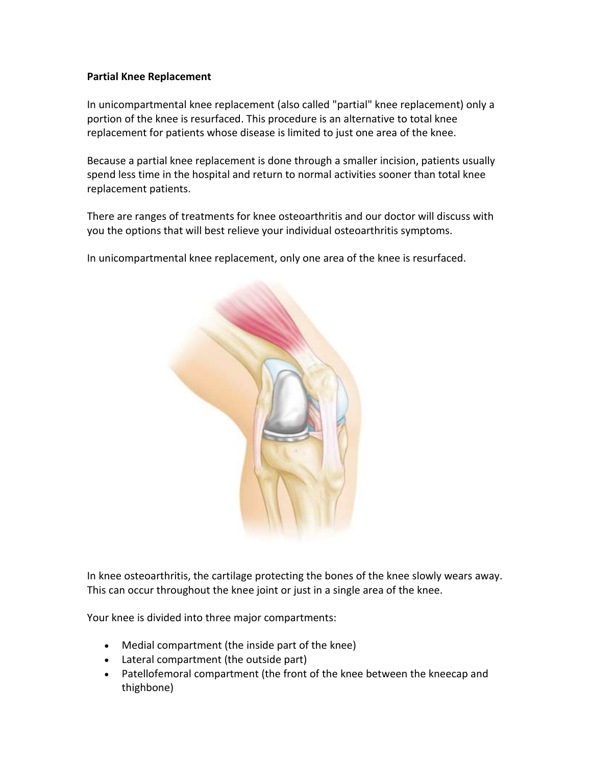# **Partial Knee Replacement**

In unicompartmental knee replacement (also called "partial" knee replacement) only a portion of the knee is resurfaced. This procedure is an alternative to total knee replacement for patients whose disease is limited to just one area of the knee.

Because a partial knee replacement is done through a smaller incision, patients usually spend less time in the hospital and return to normal activities sooner than total knee replacement patients.

There are ranges of treatments for knee osteoarthritis and our doctor will discuss with you the options that will best relieve your individual osteoarthritis symptoms.

In unicompartmental knee replacement, only one area of the knee is resurfaced.



In knee osteoarthritis, the cartilage protecting the bones of the knee slowly wears away. This can occur throughout the knee joint or just in a single area of the knee.

Your knee is divided into three major compartments:

- Medial compartment (the inside part of the knee)
- Lateral compartment (the outside part)
- Patellofemoral compartment (the front of the knee between the kneecap and thighbone)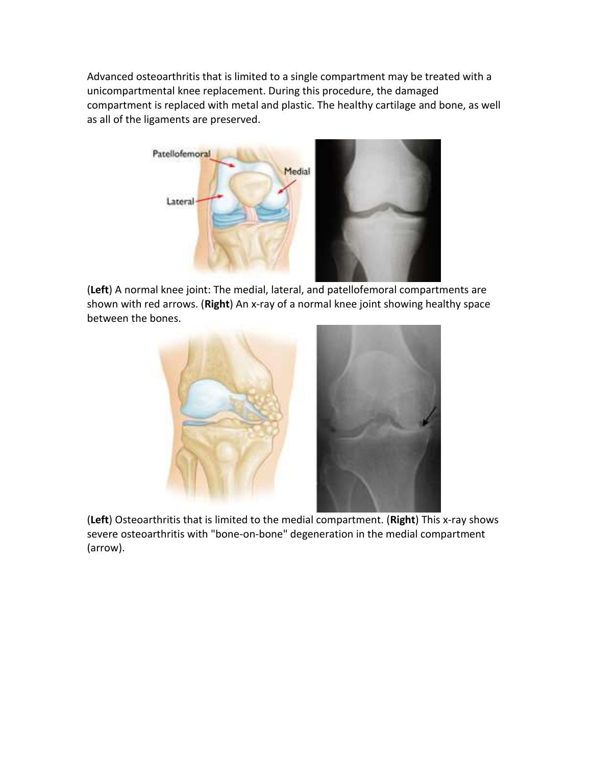Advanced osteoarthritis that is limited to a single compartment may be treated with a unicompartmental knee replacement. During this procedure, the damaged compartment is replaced with metal and plastic. The healthy cartilage and bone, as well as all of the ligaments are preserved.



(**Left**) A normal knee joint: The medial, lateral, and patellofemoral compartments are shown with red arrows. (**Right**) An x-ray of a normal knee joint showing healthy space between the bones.



(**Left**) Osteoarthritis that is limited to the medial compartment. (**Right**) This x-ray shows severe osteoarthritis with "bone-on-bone" degeneration in the medial compartment (arrow).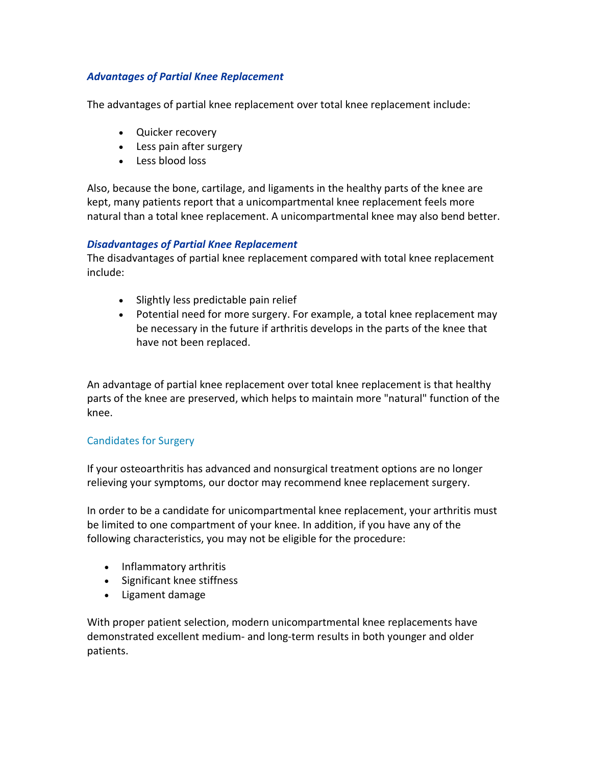# *Advantages of Partial Knee Replacement*

The advantages of partial knee replacement over total knee replacement include:

- Quicker recovery
- Less pain after surgery
- Less blood loss

Also, because the bone, cartilage, and ligaments in the healthy parts of the knee are kept, many patients report that a unicompartmental knee replacement feels more natural than a total knee replacement. A unicompartmental knee may also bend better.

### *Disadvantages of Partial Knee Replacement*

The disadvantages of partial knee replacement compared with total knee replacement include:

- Slightly less predictable pain relief
- Potential need for more surgery. For example, a total knee replacement may be necessary in the future if arthritis develops in the parts of the knee that have not been replaced.

An advantage of partial knee replacement over total knee replacement is that healthy parts of the knee are preserved, which helps to maintain more "natural" function of the knee.

### Candidates for Surgery

If your osteoarthritis has advanced and nonsurgical treatment options are no longer relieving your symptoms, our doctor may recommend knee replacement surgery.

In order to be a candidate for unicompartmental knee replacement, your arthritis must be limited to one compartment of your knee. In addition, if you have any of the following characteristics, you may not be eligible for the procedure:

- Inflammatory arthritis
- Significant knee stiffness
- Ligament damage

With proper patient selection, modern unicompartmental knee replacements have demonstrated excellent medium- and long-term results in both younger and older patients.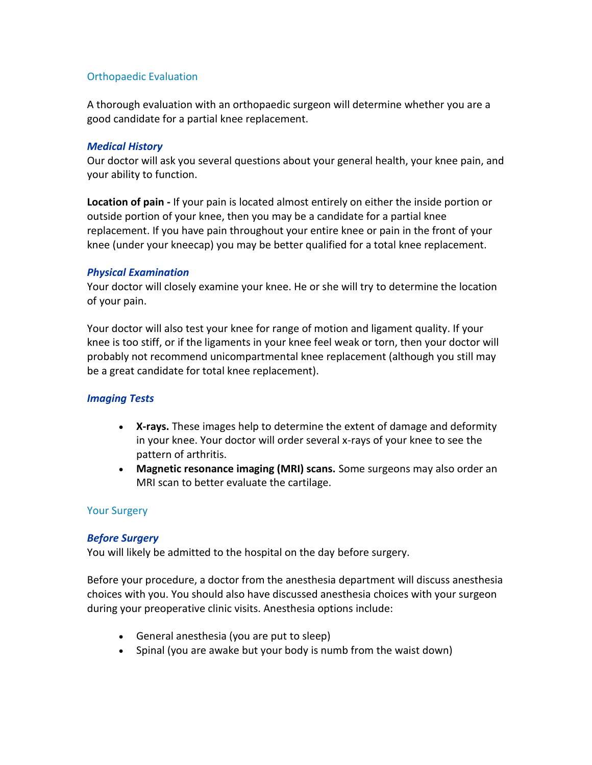# Orthopaedic Evaluation

A thorough evaluation with an orthopaedic surgeon will determine whether you are a good candidate for a partial knee replacement.

#### *Medical History*

Our doctor will ask you several questions about your general health, your knee pain, and your ability to function.

**Location of pain -** If your pain is located almost entirely on either the inside portion or outside portion of your knee, then you may be a candidate for a partial knee replacement. If you have pain throughout your entire knee or pain in the front of your knee (under your kneecap) you may be better qualified for a total knee replacement.

#### *Physical Examination*

Your doctor will closely examine your knee. He or she will try to determine the location of your pain.

Your doctor will also test your knee for range of motion and ligament quality. If your knee is too stiff, or if the ligaments in your knee feel weak or torn, then your doctor will probably not recommend unicompartmental knee replacement (although you still may be a great candidate for total knee replacement).

### *Imaging Tests*

- **X-rays.** These images help to determine the extent of damage and deformity in your knee. Your doctor will order several x-rays of your knee to see the pattern of arthritis.
- **Magnetic resonance imaging (MRI) scans.** Some surgeons may also order an MRI scan to better evaluate the cartilage.

### Your Surgery

### *Before Surgery*

You will likely be admitted to the hospital on the day before surgery.

Before your procedure, a doctor from the anesthesia department will discuss anesthesia choices with you. You should also have discussed anesthesia choices with your surgeon during your preoperative clinic visits. Anesthesia options include:

- General anesthesia (you are put to sleep)
- Spinal (you are awake but your body is numb from the waist down)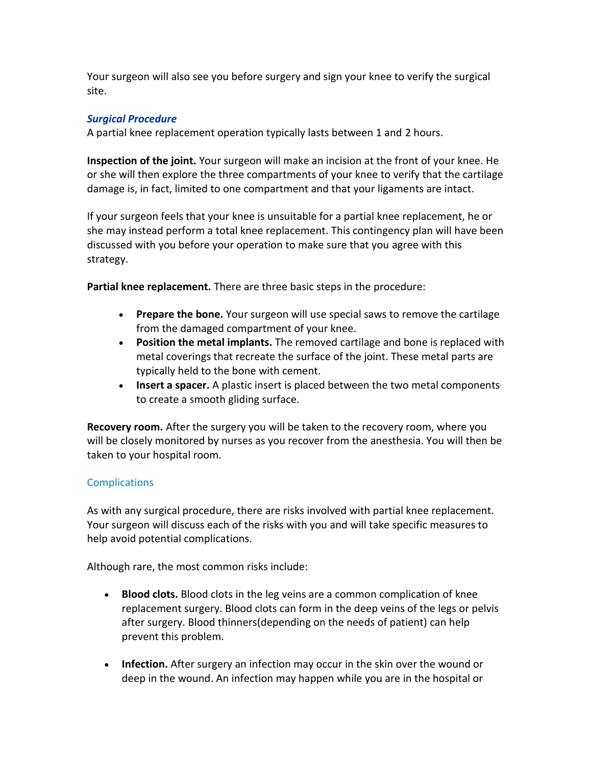Your surgeon will also see you before surgery and sign your knee to verify the surgical site.

# *Surgical Procedure*

A partial knee replacement operation typically lasts between 1 and 2 hours.

**Inspection of the joint.** Your surgeon will make an incision at the front of your knee. He or she will then explore the three compartments of your knee to verify that the cartilage damage is, in fact, limited to one compartment and that your ligaments are intact.

If your surgeon feels that your knee is unsuitable for a partial knee replacement, he or she may instead perform a total knee replacement. This contingency plan will have been discussed with you before your operation to make sure that you agree with this strategy.

**Partial knee replacement.** There are three basic steps in the procedure:

- **Prepare the bone.** Your surgeon will use special saws to remove the cartilage from the damaged compartment of your knee.
- **Position the metal implants.** The removed cartilage and bone is replaced with metal coverings that recreate the surface of the joint. These metal parts are typically held to the bone with cement.
- **Insert a spacer.** A plastic insert is placed between the two metal components to create a smooth gliding surface.

**Recovery room.** After the surgery you will be taken to the recovery room, where you will be closely monitored by nurses as you recover from the anesthesia. You will then be taken to your hospital room.

# **Complications**

As with any surgical procedure, there are risks involved with partial knee replacement. Your surgeon will discuss each of the risks with you and will take specific measures to help avoid potential complications.

Although rare, the most common risks include:

- **Blood clots.** Blood clots in the leg veins are a common complication of knee replacement surgery. Blood clots can form in the deep veins of the legs or pelvis after surgery. Blood thinners(depending on the needs of patient) can help prevent this problem.
- **Infection.** After surgery an infection may occur in the skin over the wound or deep in the wound. An infection may happen while you are in the hospital or